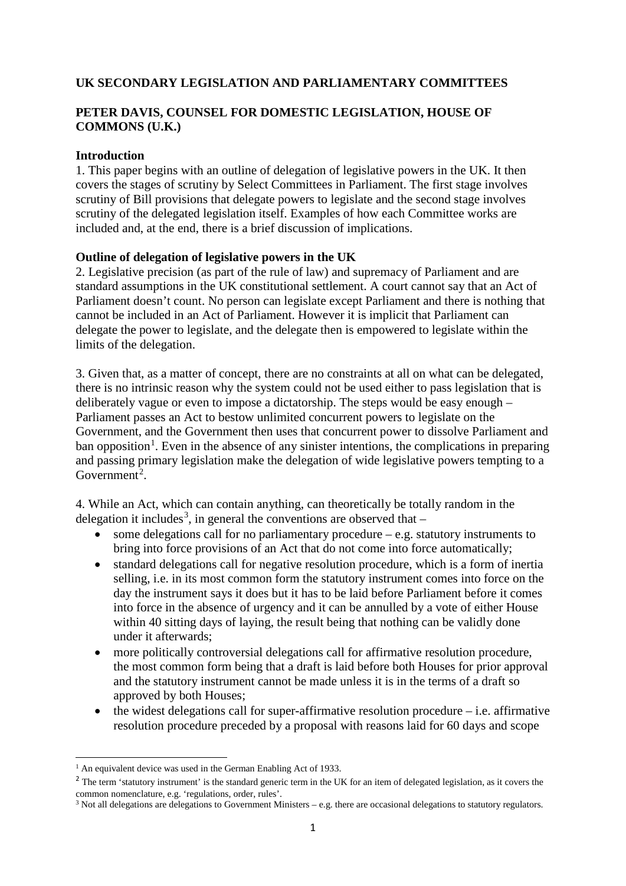## **UK SECONDARY LEGISLATION AND PARLIAMENTARY COMMITTEES**

# **PETER DAVIS, COUNSEL FOR DOMESTIC LEGISLATION, HOUSE OF COMMONS (U.K.)**

### **Introduction**

1. This paper begins with an outline of delegation of legislative powers in the UK. It then covers the stages of scrutiny by Select Committees in Parliament. The first stage involves scrutiny of Bill provisions that delegate powers to legislate and the second stage involves scrutiny of the delegated legislation itself. Examples of how each Committee works are included and, at the end, there is a brief discussion of implications.

### **Outline of delegation of legislative powers in the UK**

2. Legislative precision (as part of the rule of law) and supremacy of Parliament and are standard assumptions in the UK constitutional settlement. A court cannot say that an Act of Parliament doesn't count. No person can legislate except Parliament and there is nothing that cannot be included in an Act of Parliament. However it is implicit that Parliament can delegate the power to legislate, and the delegate then is empowered to legislate within the limits of the delegation.

3. Given that, as a matter of concept, there are no constraints at all on what can be delegated, there is no intrinsic reason why the system could not be used either to pass legislation that is deliberately vague or even to impose a dictatorship. The steps would be easy enough – Parliament passes an Act to bestow unlimited concurrent powers to legislate on the Government, and the Government then uses that concurrent power to dissolve Parliament and ban opposition<sup>[1](#page-0-0)</sup>. Even in the absence of any sinister intentions, the complications in preparing and passing primary legislation make the delegation of wide legislative powers tempting to a Government<sup>[2](#page-0-1)</sup>.

4. While an Act, which can contain anything, can theoretically be totally random in the delegation it includes<sup>[3](#page-0-2)</sup>, in general the conventions are observed that  $-$ 

- some delegations call for no parliamentary procedure e.g. statutory instruments to bring into force provisions of an Act that do not come into force automatically;
- standard delegations call for negative resolution procedure, which is a form of inertia selling, i.e. in its most common form the statutory instrument comes into force on the day the instrument says it does but it has to be laid before Parliament before it comes into force in the absence of urgency and it can be annulled by a vote of either House within 40 sitting days of laying, the result being that nothing can be validly done under it afterwards;
- more politically controversial delegations call for affirmative resolution procedure, the most common form being that a draft is laid before both Houses for prior approval and the statutory instrument cannot be made unless it is in the terms of a draft so approved by both Houses;
- $\bullet$  the widest delegations call for super-affirmative resolution procedure i.e. affirmative resolution procedure preceded by a proposal with reasons laid for 60 days and scope

**.** 

 $<sup>1</sup>$  An equivalent device was used in the German Enabling Act of 1933.</sup>

<span id="page-0-1"></span><span id="page-0-0"></span><sup>&</sup>lt;sup>2</sup> The term 'statutory instrument' is the standard generic term in the UK for an item of delegated legislation, as it covers the common nomenclature, e.g. 'regulations, order, rules'.

<span id="page-0-2"></span> $3$  Not all delegations are delegations to Government Ministers – e.g. there are occasional delegations to statutory regulators.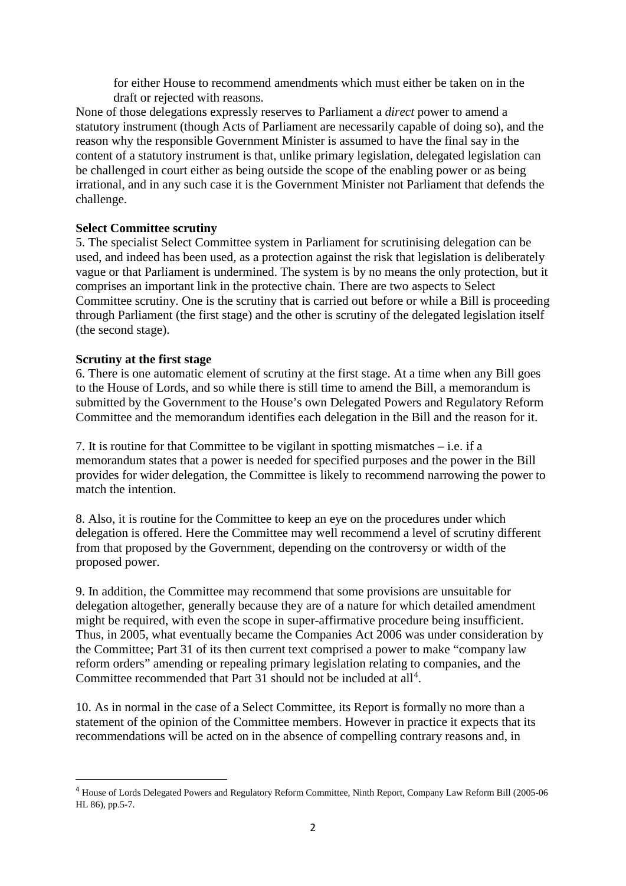for either House to recommend amendments which must either be taken on in the draft or rejected with reasons.

None of those delegations expressly reserves to Parliament a *direct* power to amend a statutory instrument (though Acts of Parliament are necessarily capable of doing so), and the reason why the responsible Government Minister is assumed to have the final say in the content of a statutory instrument is that, unlike primary legislation, delegated legislation can be challenged in court either as being outside the scope of the enabling power or as being irrational, and in any such case it is the Government Minister not Parliament that defends the challenge.

### **Select Committee scrutiny**

5. The specialist Select Committee system in Parliament for scrutinising delegation can be used, and indeed has been used, as a protection against the risk that legislation is deliberately vague or that Parliament is undermined. The system is by no means the only protection, but it comprises an important link in the protective chain. There are two aspects to Select Committee scrutiny. One is the scrutiny that is carried out before or while a Bill is proceeding through Parliament (the first stage) and the other is scrutiny of the delegated legislation itself (the second stage).

### **Scrutiny at the first stage**

 $\overline{a}$ 

6. There is one automatic element of scrutiny at the first stage. At a time when any Bill goes to the House of Lords, and so while there is still time to amend the Bill, a memorandum is submitted by the Government to the House's own Delegated Powers and Regulatory Reform Committee and the memorandum identifies each delegation in the Bill and the reason for it.

7. It is routine for that Committee to be vigilant in spotting mismatches – i.e. if a memorandum states that a power is needed for specified purposes and the power in the Bill provides for wider delegation, the Committee is likely to recommend narrowing the power to match the intention.

8. Also, it is routine for the Committee to keep an eye on the procedures under which delegation is offered. Here the Committee may well recommend a level of scrutiny different from that proposed by the Government, depending on the controversy or width of the proposed power.

9. In addition, the Committee may recommend that some provisions are unsuitable for delegation altogether, generally because they are of a nature for which detailed amendment might be required, with even the scope in super-affirmative procedure being insufficient. Thus, in 2005, what eventually became the Companies Act 2006 was under consideration by the Committee; Part 31 of its then current text comprised a power to make "company law reform orders" amending or repealing primary legislation relating to companies, and the Committee recommended that Part 31 should not be included at all<sup>[4](#page-1-0)</sup>.

10. As in normal in the case of a Select Committee, its Report is formally no more than a statement of the opinion of the Committee members. However in practice it expects that its recommendations will be acted on in the absence of compelling contrary reasons and, in

<span id="page-1-0"></span><sup>4</sup> House of Lords Delegated Powers and Regulatory Reform Committee, Ninth Report, Company Law Reform Bill (2005-06 HL 86), pp.5-7.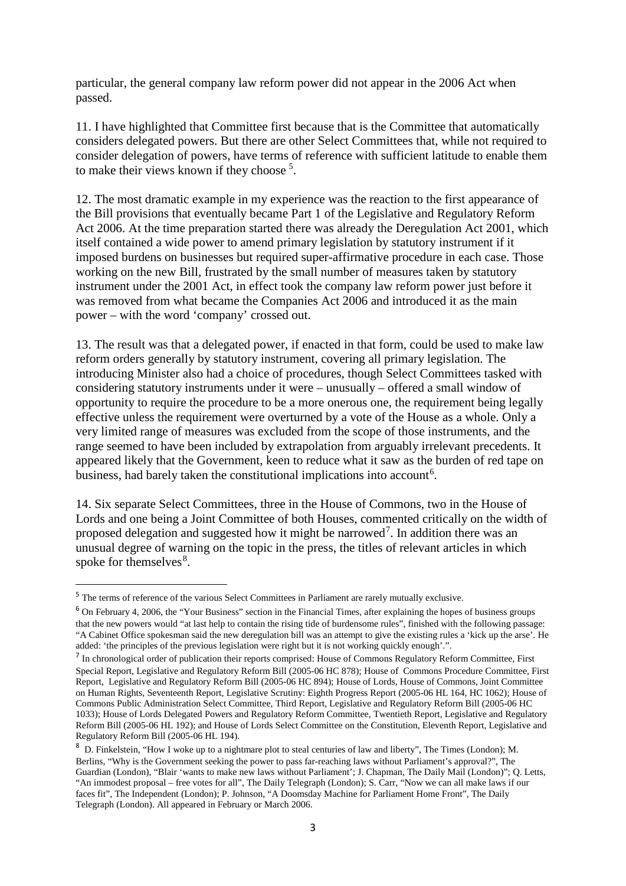particular, the general company law reform power did not appear in the 2006 Act when passed.

11. I have highlighted that Committee first because that is the Committee that automatically considers delegated powers. But there are other Select Committees that, while not required to consider delegation of powers, have terms of reference with sufficient latitude to enable them to make their views known if they choose<sup>[5](#page-2-0)</sup>.

12. The most dramatic example in my experience was the reaction to the first appearance of the Bill provisions that eventually became Part 1 of the Legislative and Regulatory Reform Act 2006. At the time preparation started there was already the Deregulation Act 2001, which itself contained a wide power to amend primary legislation by statutory instrument if it imposed burdens on businesses but required super-affirmative procedure in each case. Those working on the new Bill, frustrated by the small number of measures taken by statutory instrument under the 2001 Act, in effect took the company law reform power just before it was removed from what became the Companies Act 2006 and introduced it as the main power – with the word 'company' crossed out.

13. The result was that a delegated power, if enacted in that form, could be used to make law reform orders generally by statutory instrument, covering all primary legislation. The introducing Minister also had a choice of procedures, though Select Committees tasked with considering statutory instruments under it were – unusually – offered a small window of opportunity to require the procedure to be a more onerous one, the requirement being legally effective unless the requirement were overturned by a vote of the House as a whole. Only a very limited range of measures was excluded from the scope of those instruments, and the range seemed to have been included by extrapolation from arguably irrelevant precedents. It appeared likely that the Government, keen to reduce what it saw as the burden of red tape on business, had barely taken the constitutional implications into account<sup>[6](#page-2-1)</sup>.

14. Six separate Select Committees, three in the House of Commons, two in the House of Lords and one being a Joint Committee of both Houses, commented critically on the width of proposed delegation and suggested how it might be narrowed<sup>[7](#page-2-2)</sup>. In addition there was an unusual degree of warning on the topic in the press, the titles of relevant articles in which spoke for themselves<sup>[8](#page-2-3)</sup>.

<span id="page-2-0"></span><sup>5</sup> The terms of reference of the various Select Committees in Parliament are rarely mutually exclusive.

<span id="page-2-1"></span><sup>6</sup> On February 4, 2006, the "Your Business" section in the Financial Times, after explaining the hopes of business groups that the new powers would "at last help to contain the rising tide of burdensome rules", finished with the following passage: "A Cabinet Office spokesman said the new deregulation bill was an attempt to give the existing rules a 'kick up the arse'. He added: 'the principles of the previous legislation were right but it is not working quickly enough'.".

<span id="page-2-2"></span><sup>7</sup> In chronological order of publication their reports comprised: House of Commons Regulatory Reform Committee, First Special Report, Legislative and Regulatory Reform Bill (2005-06 HC 878); House of Commons Procedure Committee, First Report, Legislative and Regulatory Reform Bill (2005-06 HC 894); House of Lords, House of Commons, Joint Committee on Human Rights, Seventeenth Report, Legislative Scrutiny: Eighth Progress Report (2005-06 HL 164, HC 1062); House of Commons Public Administration Select Committee, Third Report, Legislative and Regulatory Reform Bill (2005-06 HC 1033); House of Lords Delegated Powers and Regulatory Reform Committee, Twentieth Report, Legislative and Regulatory Reform Bill (2005-06 HL 192); and House of Lords Select Committee on the Constitution, Eleventh Report, Legislative and Regulatory Reform Bill (2005-06 HL 194).

<span id="page-2-3"></span><sup>8</sup> D. Finkelstein, "How I woke up to a nightmare plot to steal centuries of law and liberty", The Times (London); M. Berlins, "Why is the Government seeking the power to pass far-reaching laws without Parliament's approval?", The Guardian (London), "Blair 'wants to make new laws without Parliament'; J. Chapman, The Daily Mail (London)"; Q. Letts, "An immodest proposal – free votes for all", The Daily Telegraph (London); S. Carr, "Now we can all make laws if our faces fit", The Independent (London); P. Johnson, "A Doomsday Machine for Parliament Home Front", The Daily Telegraph (London). All appeared in February or March 2006.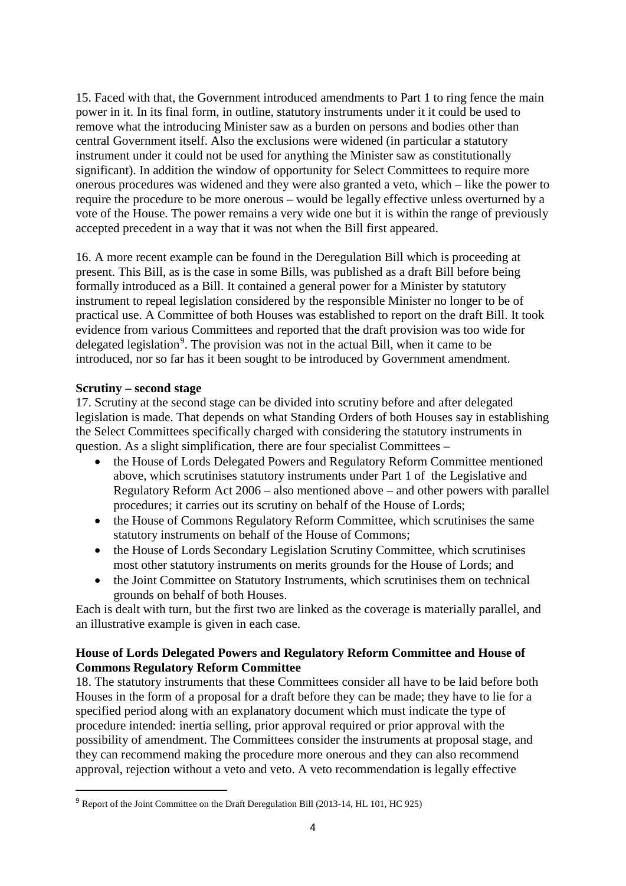15. Faced with that, the Government introduced amendments to Part 1 to ring fence the main power in it. In its final form, in outline, statutory instruments under it it could be used to remove what the introducing Minister saw as a burden on persons and bodies other than central Government itself. Also the exclusions were widened (in particular a statutory instrument under it could not be used for anything the Minister saw as constitutionally significant). In addition the window of opportunity for Select Committees to require more onerous procedures was widened and they were also granted a veto, which – like the power to require the procedure to be more onerous – would be legally effective unless overturned by a vote of the House. The power remains a very wide one but it is within the range of previously accepted precedent in a way that it was not when the Bill first appeared.

16. A more recent example can be found in the Deregulation Bill which is proceeding at present. This Bill, as is the case in some Bills, was published as a draft Bill before being formally introduced as a Bill. It contained a general power for a Minister by statutory instrument to repeal legislation considered by the responsible Minister no longer to be of practical use. A Committee of both Houses was established to report on the draft Bill. It took evidence from various Committees and reported that the draft provision was too wide for delegated legislation<sup>[9](#page-3-0)</sup>. The provision was not in the actual Bill, when it came to be introduced, nor so far has it been sought to be introduced by Government amendment.

### **Scrutiny – second stage**

**.** 

17. Scrutiny at the second stage can be divided into scrutiny before and after delegated legislation is made. That depends on what Standing Orders of both Houses say in establishing the Select Committees specifically charged with considering the statutory instruments in question. As a slight simplification, there are four specialist Committees –

- the House of Lords Delegated Powers and Regulatory Reform Committee mentioned above, which scrutinises statutory instruments under Part 1 of the Legislative and Regulatory Reform Act 2006 – also mentioned above – and other powers with parallel procedures; it carries out its scrutiny on behalf of the House of Lords;
- the House of Commons Regulatory Reform Committee, which scrutinises the same statutory instruments on behalf of the House of Commons;
- the House of Lords Secondary Legislation Scrutiny Committee, which scrutinises most other statutory instruments on merits grounds for the House of Lords; and
- the Joint Committee on Statutory Instruments, which scrutinises them on technical grounds on behalf of both Houses.

Each is dealt with turn, but the first two are linked as the coverage is materially parallel, and an illustrative example is given in each case.

## **House of Lords Delegated Powers and Regulatory Reform Committee and House of Commons Regulatory Reform Committee**

18. The statutory instruments that these Committees consider all have to be laid before both Houses in the form of a proposal for a draft before they can be made; they have to lie for a specified period along with an explanatory document which must indicate the type of procedure intended: inertia selling, prior approval required or prior approval with the possibility of amendment. The Committees consider the instruments at proposal stage, and they can recommend making the procedure more onerous and they can also recommend approval, rejection without a veto and veto. A veto recommendation is legally effective

<span id="page-3-0"></span><sup>9</sup> Report of the Joint Committee on the Draft Deregulation Bill (2013-14, HL 101, HC 925)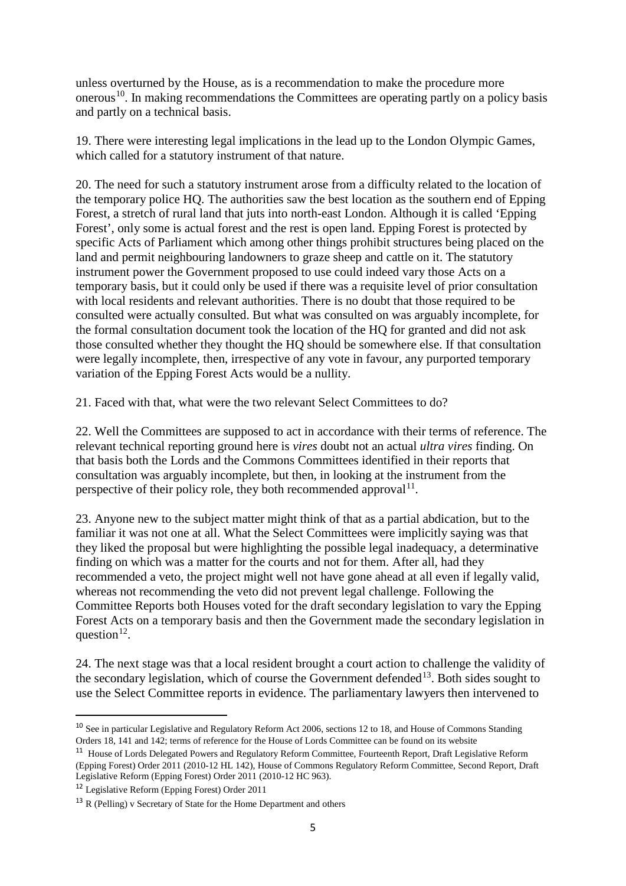unless overturned by the House, as is a recommendation to make the procedure more onerous<sup>10</sup>. In making recommendations the Committees are operating partly on a policy basis and partly on a technical basis.

19. There were interesting legal implications in the lead up to the London Olympic Games, which called for a statutory instrument of that nature.

20. The need for such a statutory instrument arose from a difficulty related to the location of the temporary police HQ. The authorities saw the best location as the southern end of Epping Forest, a stretch of rural land that juts into north-east London. Although it is called 'Epping Forest', only some is actual forest and the rest is open land. Epping Forest is protected by specific Acts of Parliament which among other things prohibit structures being placed on the land and permit neighbouring landowners to graze sheep and cattle on it. The statutory instrument power the Government proposed to use could indeed vary those Acts on a temporary basis, but it could only be used if there was a requisite level of prior consultation with local residents and relevant authorities. There is no doubt that those required to be consulted were actually consulted. But what was consulted on was arguably incomplete, for the formal consultation document took the location of the HQ for granted and did not ask those consulted whether they thought the HQ should be somewhere else. If that consultation were legally incomplete, then, irrespective of any vote in favour, any purported temporary variation of the Epping Forest Acts would be a nullity.

21. Faced with that, what were the two relevant Select Committees to do?

22. Well the Committees are supposed to act in accordance with their terms of reference. The relevant technical reporting ground here is *vires* doubt not an actual *ultra vires* finding. On that basis both the Lords and the Commons Committees identified in their reports that consultation was arguably incomplete, but then, in looking at the instrument from the perspective of their policy role, they both recommended approval  $11$ .

23. Anyone new to the subject matter might think of that as a partial abdication, but to the familiar it was not one at all. What the Select Committees were implicitly saying was that they liked the proposal but were highlighting the possible legal inadequacy, a determinative finding on which was a matter for the courts and not for them. After all, had they recommended a veto, the project might well not have gone ahead at all even if legally valid, whereas not recommending the veto did not prevent legal challenge. Following the Committee Reports both Houses voted for the draft secondary legislation to vary the Epping Forest Acts on a temporary basis and then the Government made the secondary legislation in question $^{12}$  $^{12}$  $^{12}$ .

24. The next stage was that a local resident brought a court action to challenge the validity of the secondary legislation, which of course the Government defended<sup>[13](#page-4-3)</sup>. Both sides sought to use the Select Committee reports in evidence. The parliamentary lawyers then intervened to

<span id="page-4-2"></span><sup>12</sup> Legislative Reform (Epping Forest) Order 2011

<span id="page-4-0"></span><sup>10</sup> See in particular Legislative and Regulatory Reform Act 2006, sections 12 to 18, and House of Commons Standing Orders 18, 141 and 142; terms of reference for the House of Lords Committee can be found on its website

<span id="page-4-1"></span><sup>&</sup>lt;sup>11</sup> House of Lords Delegated Powers and Regulatory Reform Committee, Fourteenth Report, Draft Legislative Reform (Epping Forest) Order 2011 (2010-12 HL 142), House of Commons Regulatory Reform Committee, Second Report, Draft Legislative Reform (Epping Forest) Order 2011 (2010-12 HC 963).

<span id="page-4-3"></span> $13$  R (Pelling) v Secretary of State for the Home Department and others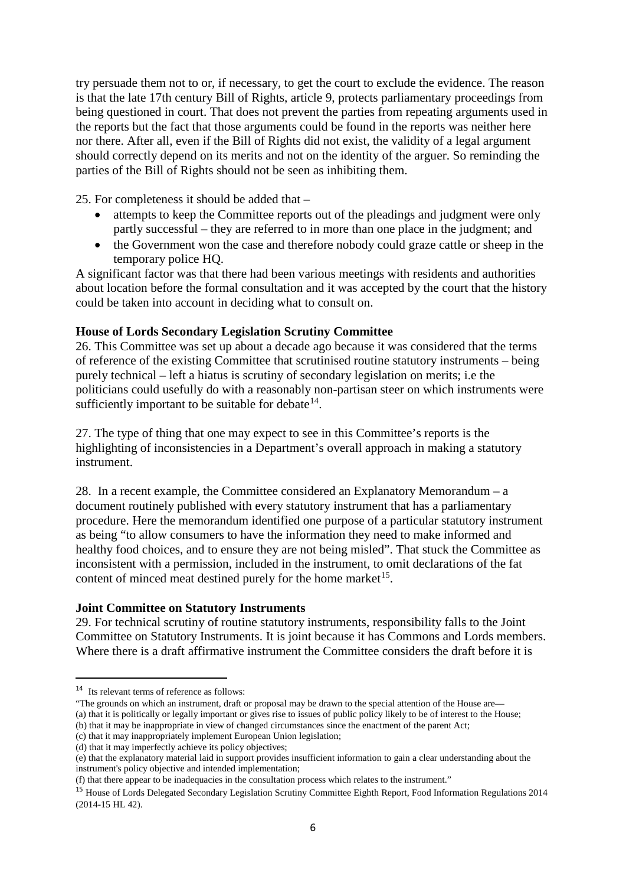try persuade them not to or, if necessary, to get the court to exclude the evidence. The reason is that the late 17th century Bill of Rights, article 9, protects parliamentary proceedings from being questioned in court. That does not prevent the parties from repeating arguments used in the reports but the fact that those arguments could be found in the reports was neither here nor there. After all, even if the Bill of Rights did not exist, the validity of a legal argument should correctly depend on its merits and not on the identity of the arguer. So reminding the parties of the Bill of Rights should not be seen as inhibiting them.

25. For completeness it should be added that –

- attempts to keep the Committee reports out of the pleadings and judgment were only partly successful – they are referred to in more than one place in the judgment; and
- the Government won the case and therefore nobody could graze cattle or sheep in the temporary police HQ.

A significant factor was that there had been various meetings with residents and authorities about location before the formal consultation and it was accepted by the court that the history could be taken into account in deciding what to consult on.

#### **House of Lords Secondary Legislation Scrutiny Committee**

26. This Committee was set up about a decade ago because it was considered that the terms of reference of the existing Committee that scrutinised routine statutory instruments – being purely technical – left a hiatus is scrutiny of secondary legislation on merits; i.e the politicians could usefully do with a reasonably non-partisan steer on which instruments were sufficiently important to be suitable for debate  $14$ .

27. The type of thing that one may expect to see in this Committee's reports is the highlighting of inconsistencies in a Department's overall approach in making a statutory instrument.

28. In a recent example, the Committee considered an Explanatory Memorandum – a document routinely published with every statutory instrument that has a parliamentary procedure. Here the memorandum identified one purpose of a particular statutory instrument as being "to allow consumers to have the information they need to make informed and healthy food choices, and to ensure they are not being misled". That stuck the Committee as inconsistent with a permission, included in the instrument, to omit declarations of the fat content of minced meat destined purely for the home market<sup>15</sup>.

#### **Joint Committee on Statutory Instruments**

29. For technical scrutiny of routine statutory instruments, responsibility falls to the Joint Committee on Statutory Instruments. It is joint because it has Commons and Lords members. Where there is a draft affirmative instrument the Committee considers the draft before it is

<span id="page-5-0"></span><sup>14</sup> Its relevant terms of reference as follows:

<sup>&</sup>quot;The grounds on which an instrument, draft or proposal may be drawn to the special attention of the House are— (a) that it is politically or legally important or gives rise to issues of public policy likely to be of interest to the House;

<sup>(</sup>b) that it may be inappropriate in view of changed circumstances since the enactment of the parent Act; (c) that it may inappropriately implement European Union legislation;

<sup>(</sup>d) that it may imperfectly achieve its policy objectives;

<sup>(</sup>e) that the explanatory material laid in support provides insufficient information to gain a clear understanding about the instrument's policy objective and intended implementation;

<sup>(</sup>f) that there appear to be inadequacies in the consultation process which relates to the instrument."

<span id="page-5-1"></span><sup>&</sup>lt;sup>15</sup> House of Lords Delegated Secondary Legislation Scrutiny Committee Eighth Report, Food Information Regulations 2014 (2014-15 HL 42).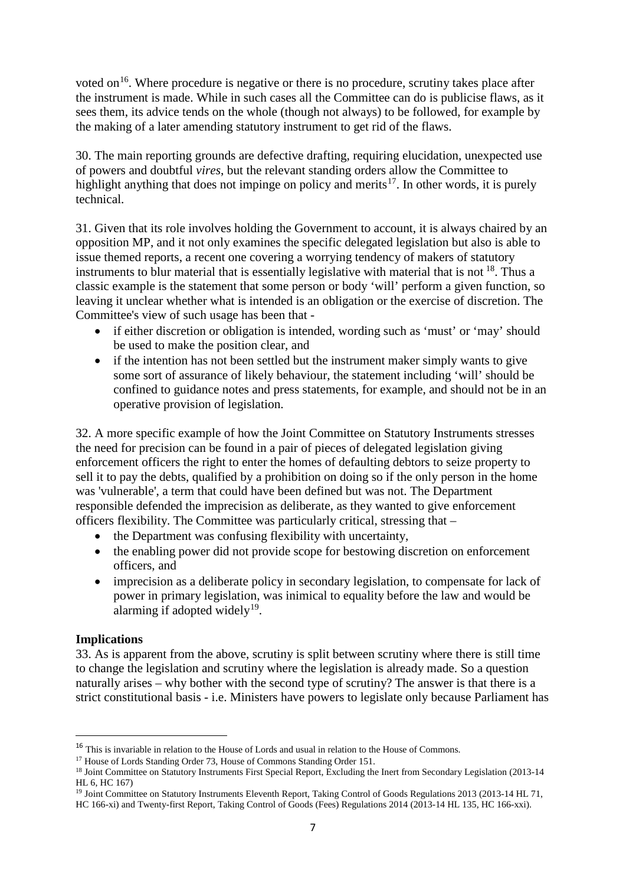voted on<sup>[16](#page-6-0)</sup>. Where procedure is negative or there is no procedure, scrutiny takes place after the instrument is made. While in such cases all the Committee can do is publicise flaws, as it sees them, its advice tends on the whole (though not always) to be followed, for example by the making of a later amending statutory instrument to get rid of the flaws.

30. The main reporting grounds are defective drafting, requiring elucidation, unexpected use of powers and doubtful *vires*, but the relevant standing orders allow the Committee to highlight anything that does not impinge on policy and merits<sup>[17](#page-6-1)</sup>. In other words, it is purely technical.

31. Given that its role involves holding the Government to account, it is always chaired by an opposition MP, and it not only examines the specific delegated legislation but also is able to issue themed reports, a recent one covering a worrying tendency of makers of statutory instruments to blur material that is essentially legislative with material that is not  $^{18}$ . Thus a classic example is the statement that some person or body 'will' perform a given function, so leaving it unclear whether what is intended is an obligation or the exercise of discretion. The Committee's view of such usage has been that -

- if either discretion or obligation is intended, wording such as 'must' or 'may' should be used to make the position clear, and
- if the intention has not been settled but the instrument maker simply wants to give some sort of assurance of likely behaviour, the statement including 'will' should be confined to guidance notes and press statements, for example, and should not be in an operative provision of legislation.

32. A more specific example of how the Joint Committee on Statutory Instruments stresses the need for precision can be found in a pair of pieces of delegated legislation giving enforcement officers the right to enter the homes of defaulting debtors to seize property to sell it to pay the debts, qualified by a prohibition on doing so if the only person in the home was 'vulnerable', a term that could have been defined but was not. The Department responsible defended the imprecision as deliberate, as they wanted to give enforcement officers flexibility. The Committee was particularly critical, stressing that –

- the Department was confusing flexibility with uncertainty,
- the enabling power did not provide scope for bestowing discretion on enforcement officers, and
- imprecision as a deliberate policy in secondary legislation, to compensate for lack of power in primary legislation, was inimical to equality before the law and would be alarming if adopted widely<sup>[19](#page-6-3)</sup>.

### **Implications**

**.** 

33. As is apparent from the above, scrutiny is split between scrutiny where there is still time to change the legislation and scrutiny where the legislation is already made. So a question naturally arises – why bother with the second type of scrutiny? The answer is that there is a strict constitutional basis - i.e. Ministers have powers to legislate only because Parliament has

<span id="page-6-0"></span><sup>&</sup>lt;sup>16</sup> This is invariable in relation to the House of Lords and usual in relation to the House of Commons.

<sup>&</sup>lt;sup>17</sup> House of Lords Standing Order 73, House of Commons Standing Order 151.

<span id="page-6-2"></span><span id="page-6-1"></span><sup>&</sup>lt;sup>18</sup> Joint Committee on Statutory Instruments First Special Report, Excluding the Inert from Secondary Legislation (2013-14 HL 6, HC 167)

<span id="page-6-3"></span><sup>&</sup>lt;sup>19</sup> Joint Committee on Statutory Instruments Eleventh Report, Taking Control of Goods Regulations 2013 (2013-14 HL 71, HC 166-xi) and Twenty-first Report, Taking Control of Goods (Fees) Regulations 2014 (2013-14 HL 135, HC 166-xxi).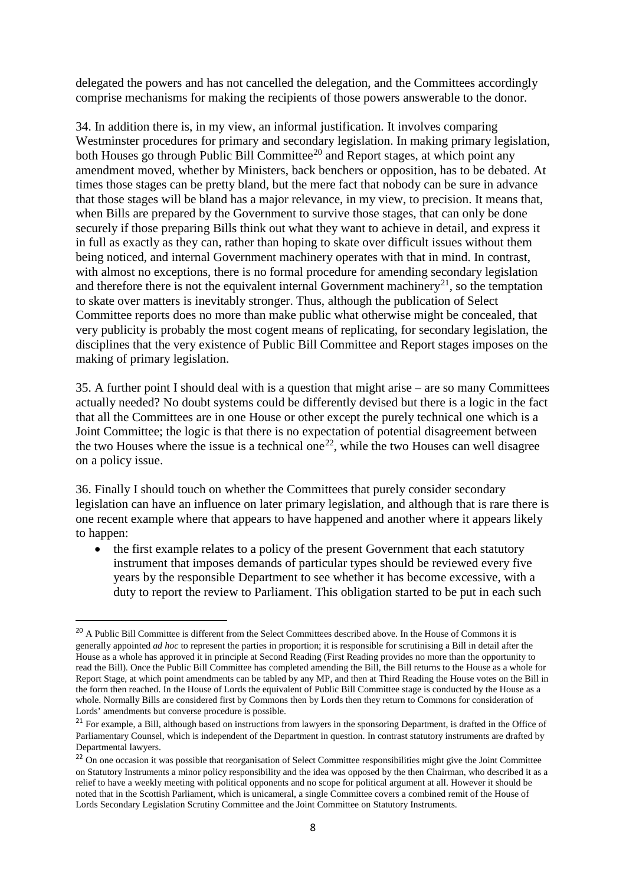delegated the powers and has not cancelled the delegation, and the Committees accordingly comprise mechanisms for making the recipients of those powers answerable to the donor.

34. In addition there is, in my view, an informal justification. It involves comparing Westminster procedures for primary and secondary legislation. In making primary legislation, both Houses go through Public Bill Committee<sup>[20](#page-7-0)</sup> and Report stages, at which point any amendment moved, whether by Ministers, back benchers or opposition, has to be debated. At times those stages can be pretty bland, but the mere fact that nobody can be sure in advance that those stages will be bland has a major relevance, in my view, to precision. It means that, when Bills are prepared by the Government to survive those stages, that can only be done securely if those preparing Bills think out what they want to achieve in detail, and express it in full as exactly as they can, rather than hoping to skate over difficult issues without them being noticed, and internal Government machinery operates with that in mind. In contrast, with almost no exceptions, there is no formal procedure for amending secondary legislation and therefore there is not the equivalent internal Government machinery<sup>21</sup>, so the temptation to skate over matters is inevitably stronger. Thus, although the publication of Select Committee reports does no more than make public what otherwise might be concealed, that very publicity is probably the most cogent means of replicating, for secondary legislation, the disciplines that the very existence of Public Bill Committee and Report stages imposes on the making of primary legislation.

35. A further point I should deal with is a question that might arise – are so many Committees actually needed? No doubt systems could be differently devised but there is a logic in the fact that all the Committees are in one House or other except the purely technical one which is a Joint Committee; the logic is that there is no expectation of potential disagreement between the two Houses where the issue is a technical one<sup>22</sup>, while the two Houses can well disagree on a policy issue.

36. Finally I should touch on whether the Committees that purely consider secondary legislation can have an influence on later primary legislation, and although that is rare there is one recent example where that appears to have happened and another where it appears likely to happen:

• the first example relates to a policy of the present Government that each statutory instrument that imposes demands of particular types should be reviewed every five years by the responsible Department to see whether it has become excessive, with a duty to report the review to Parliament. This obligation started to be put in each such

<span id="page-7-0"></span><sup>&</sup>lt;sup>20</sup> A Public Bill Committee is different from the Select Committees described above. In the House of Commons it is generally appointed *ad hoc* to represent the parties in proportion; it is responsible for scrutinising a Bill in detail after the House as a whole has approved it in principle at Second Reading (First Reading provides no more than the opportunity to read the Bill). Once the Public Bill Committee has completed amending the Bill, the Bill returns to the House as a whole for Report Stage, at which point amendments can be tabled by any MP, and then at Third Reading the House votes on the Bill in the form then reached. In the House of Lords the equivalent of Public Bill Committee stage is conducted by the House as a whole. Normally Bills are considered first by Commons then by Lords then they return to Commons for consideration of Lords' amendments but converse procedure is possible.

<span id="page-7-1"></span><sup>&</sup>lt;sup>21</sup> For example, a Bill, although based on instructions from lawyers in the sponsoring Department, is drafted in the Office of Parliamentary Counsel, which is independent of the Department in question. In contrast statutory instruments are drafted by Departmental lawyers.

<span id="page-7-2"></span><sup>&</sup>lt;sup>22</sup> On one occasion it was possible that reorganisation of Select Committee responsibilities might give the Joint Committee on Statutory Instruments a minor policy responsibility and the idea was opposed by the then Chairman, who described it as a relief to have a weekly meeting with political opponents and no scope for political argument at all. However it should be noted that in the Scottish Parliament, which is unicameral, a single Committee covers a combined remit of the House of Lords Secondary Legislation Scrutiny Committee and the Joint Committee on Statutory Instruments.